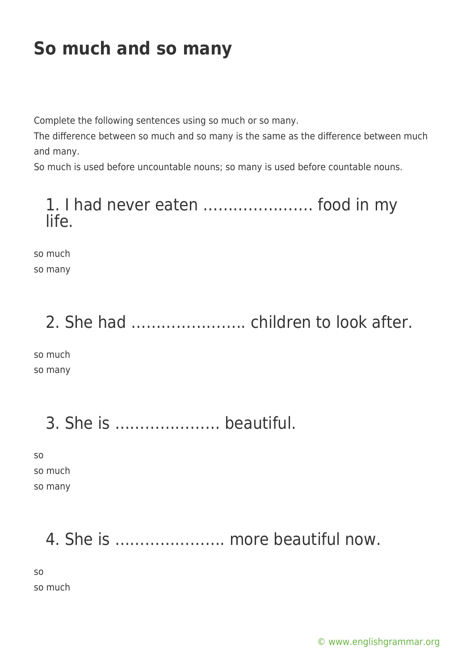## **So much and so many**

Complete the following sentences using so much or so many.

The difference between so much and so many is the same as the difference between much and many.

So much is used before uncountable nouns; so many is used before countable nouns.

### 1. I had never eaten …………………. food in my life.

so much so many

# 2. She had ………………….. children to look after.

so much so many

### 3. She is ………………… beautiful.

so so much so many

# 4. She is …………………. more beautiful now.

so

so much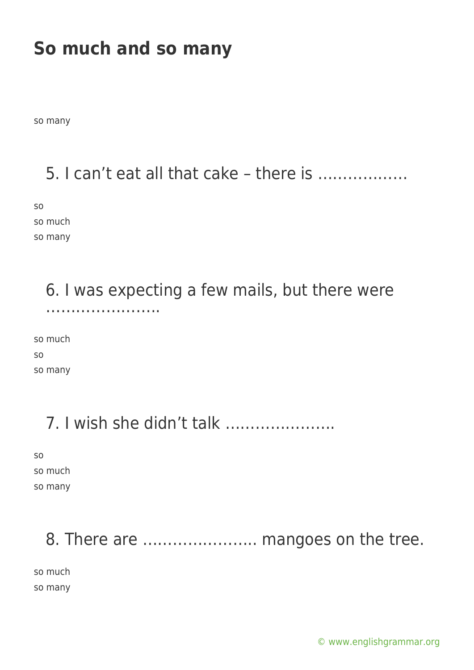### **So much and so many**

so many

### 5. I can't eat all that cake – there is ………………

so so much so many

### 6. I was expecting a few mails, but there were …………………..

so much so so many

### 7. I wish she didn't talk ………………….

so so much so many

### 8. There are ....................... mangoes on the tree.

so much so many